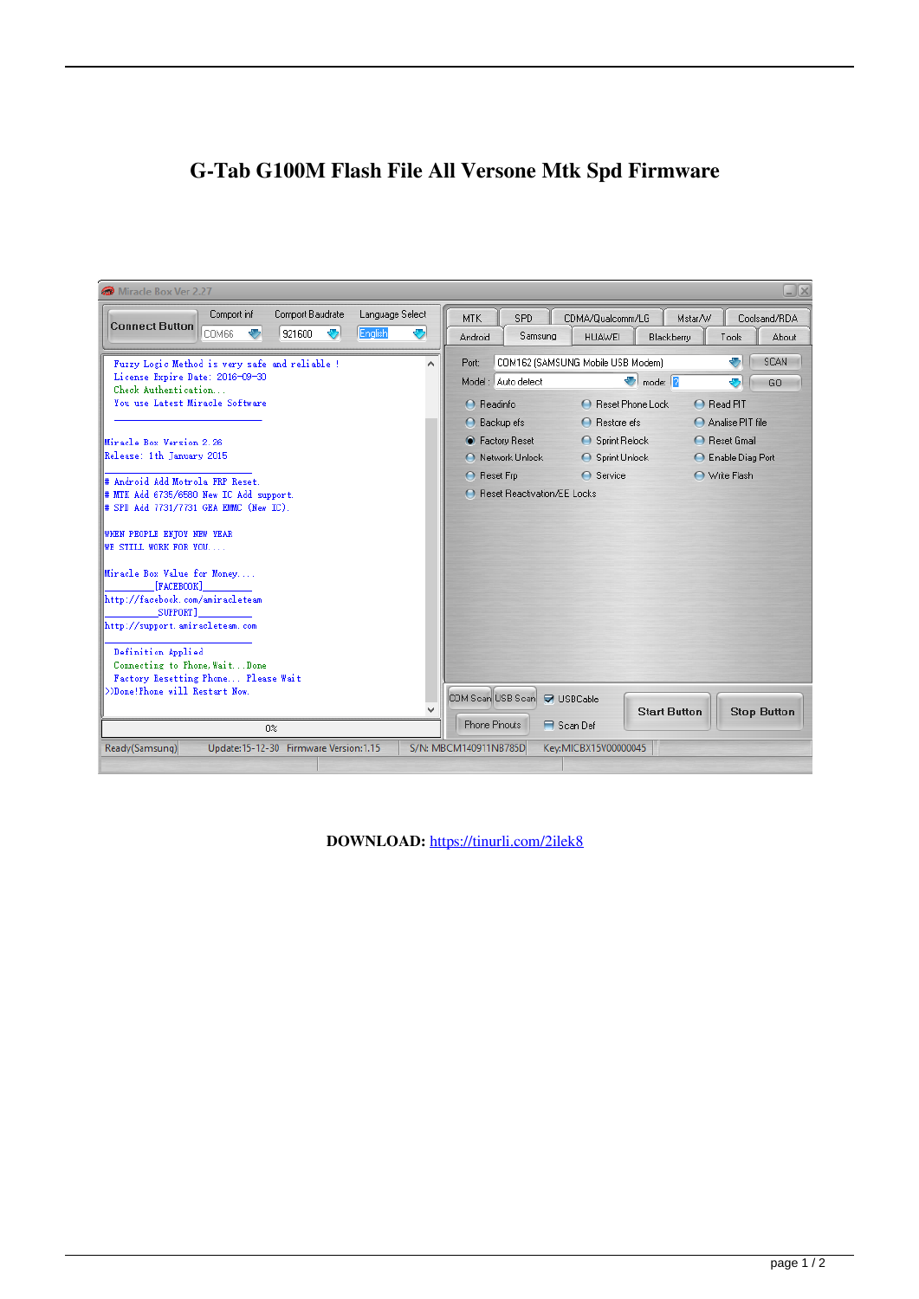## G-Tab G100M Flash File All Versone Mtk Spd Firmware

| Miracle Box Ver 2.27                                                                                                                                                                                                                                                                                                                                                                                                                                                                                                              | $\Box$ $\times$                                                                                                                                                                                                                                                                                                                                                                                                                                                                   |
|-----------------------------------------------------------------------------------------------------------------------------------------------------------------------------------------------------------------------------------------------------------------------------------------------------------------------------------------------------------------------------------------------------------------------------------------------------------------------------------------------------------------------------------|-----------------------------------------------------------------------------------------------------------------------------------------------------------------------------------------------------------------------------------------------------------------------------------------------------------------------------------------------------------------------------------------------------------------------------------------------------------------------------------|
| Comport Baudrate<br>Language Select<br>Comport inf<br><b>Connect Button</b><br>English<br>$\bullet$<br>Ð<br>921600<br>❤<br>COM66                                                                                                                                                                                                                                                                                                                                                                                                  | <b>MTK</b><br>SPD<br>CDMA/Qualcomm/LG<br>Mstar/W<br>Coolsand/RDA<br>Samsung<br>Android<br><b>HUAWEI</b><br>Blackberry<br>About<br>Tools                                                                                                                                                                                                                                                                                                                                           |
| Fuzzy Logic Method is very safe and reliable !<br>A<br>License Expire Date: 2016-09-30<br>Check Authentication<br>You use Latest Miracle Software<br>Miracle Box Version 2.26<br>Release: 1th January 2015<br># Android Add Motrola FRP Reset.<br># MTK Add 6735/6580 New IC Add support.<br># SPD Add 7731/7731 GEA EMMC (New IC).<br>WHEN PEOPLE ENTOY NEW YEAR<br><b>WE STILL WORK FOR YOU</b><br>Miracle Box Value for Money<br>[FACEBOOK]<br>http://facebook.com/amiracleteam<br>SUPPORT]<br>http://support.amiracleteam.com | <b>SCAN</b><br>÷<br>COM162 (SAMSUNG Mobile USB Modem)<br>Port:<br>$\blacksquare$ mode: $\blacksquare$<br>Model: Auto detect<br>÷<br>GO.<br><b>C</b> Reset Phone Lock<br>A Read PIT<br>$\bigcap$ Readinfo<br>◯ Backup efs<br>$\bigcap$ Restore efs<br>Analise PIT file<br><b>C</b> Factory Reset<br>◯ Sprint Relock<br>◯ Reset Gmail<br>◯ Network Unlock<br>Sprint Unlock<br>◯ Enable Diag Port<br><b>●</b> Service<br>Write Flash<br>◯ Reset Frp<br>◯ Reset Reactivation/EE Locks |
| Definition Applied<br>Connecting to Phone, WaitDone<br>Factory Resetting Phone Please Wait<br>>>Done!Phone will Restart Now.<br>0 <sup>2</sup>                                                                                                                                                                                                                                                                                                                                                                                    | COM Scan USB Scan<br><b><del>■</del></b> USBCable<br><b>Start Button</b><br><b>Stop Button</b><br><b>Phone Pinouts</b><br><b>□</b> Scan Def                                                                                                                                                                                                                                                                                                                                       |
| Update:15-12-30 Firmware Version:1.15<br>Ready(Samsung)                                                                                                                                                                                                                                                                                                                                                                                                                                                                           | S/N: MBCM140911NB785D<br>Key:MICBX15V00000045                                                                                                                                                                                                                                                                                                                                                                                                                                     |

DOWNLOAD: https://tinurli.com/2ilek8